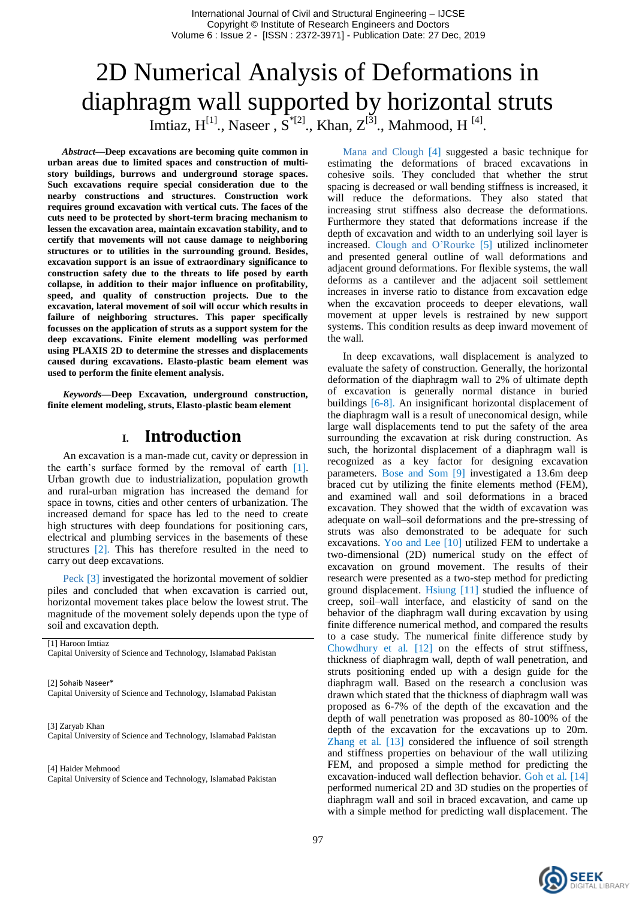# 2D Numerical Analysis of Deformations in diaphragm wall supported by horizontal struts Imtiaz,  $H^{[1]}$ ., Naseer,  $S^{[2]}$ ., Khan,  $Z^{[3]}$ ., Mahmood, H<sup>[4]</sup>.

*Abstract***—Deep excavations are becoming quite common in urban areas due to limited spaces and construction of multistory buildings, burrows and underground storage spaces. Such excavations require special consideration due to the nearby constructions and structures. Construction work requires ground excavation with vertical cuts. The faces of the cuts need to be protected by short-term bracing mechanism to lessen the excavation area, maintain excavation stability, and to certify that movements will not cause damage to neighboring structures or to utilities in the surrounding ground. Besides, excavation support is an issue of extraordinary significance to construction safety due to the threats to life posed by earth collapse, in addition to their major influence on profitability, speed, and quality of construction projects. Due to the excavation, lateral movement of soil will occur which results in failure of neighboring structures. This paper specifically focusses on the application of struts as a support system for the deep excavations. Finite element modelling was performed using PLAXIS 2D to determine the stresses and displacements caused during excavations. Elasto-plastic beam element was used to perform the finite element analysis.**

*Keywords—***Deep Excavation, underground construction, finite element modeling, struts, Elasto-plastic beam element**

#### **I. Introduction**

An excavation is a man-made cut, cavity or depression in the earth"s surface formed by the removal of earth [1]. Urban growth due to industrialization, population growth and rural-urban migration has increased the demand for space in towns, cities and other centers of urbanization. The increased demand for space has led to the need to create high structures with deep foundations for positioning cars, electrical and plumbing services in the basements of these structures [2]. This has therefore resulted in the need to carry out deep excavations.

Peck [3] investigated the horizontal movement of soldier piles and concluded that when excavation is carried out, horizontal movement takes place below the lowest strut. The magnitude of the movement solely depends upon the type of soil and excavation depth.

[1] Haroon Imtiaz

Capital University of Science and Technology, Islamabad Pakistan

[2] Sohaib Naseer\* Capital University of Science and Technology, Islamabad Pakistan

[3] Zaryab Khan Capital University of Science and Technology, Islamabad Pakistan

[4] Haider Mehmood

Capital University of Science and Technology, Islamabad Pakistan

Mana and Clough [4] suggested a basic technique for estimating the deformations of braced excavations in cohesive soils. They concluded that whether the strut spacing is decreased or wall bending stiffness is increased, it will reduce the deformations. They also stated that increasing strut stiffness also decrease the deformations. Furthermore they stated that deformations increase if the depth of excavation and width to an underlying soil layer is increased. Clough and O"Rourke [5] utilized inclinometer and presented general outline of wall deformations and adjacent ground deformations. For flexible systems, the wall deforms as a cantilever and the adjacent soil settlement increases in inverse ratio to distance from excavation edge when the excavation proceeds to deeper elevations, wall movement at upper levels is restrained by new support systems. This condition results as deep inward movement of the wall.

In deep excavations, wall displacement is analyzed to evaluate the safety of construction. Generally, the horizontal deformation of the diaphragm wall to 2% of ultimate depth of excavation is generally normal distance in buried buildings [6-8]. An insignificant horizontal displacement of the diaphragm wall is a result of uneconomical design, while large wall displacements tend to put the safety of the area surrounding the excavation at risk during construction. As such, the horizontal displacement of a diaphragm wall is recognized as a key factor for designing excavation parameters. Bose and Som [9] investigated a 13.6m deep braced cut by utilizing the finite elements method (FEM), and examined wall and soil deformations in a braced excavation. They showed that the width of excavation was adequate on wall–soil deformations and the pre-stressing of struts was also demonstrated to be adequate for such excavations. Yoo and Lee [10] utilized FEM to undertake a two-dimensional (2D) numerical study on the effect of excavation on ground movement. The results of their research were presented as a two-step method for predicting ground displacement. Hsiung [11] studied the influence of creep, soil–wall interface, and elasticity of sand on the behavior of the diaphragm wall during excavation by using finite difference numerical method, and compared the results to a case study. The numerical finite difference study by Chowdhury et al. [12] on the effects of strut stiffness, thickness of diaphragm wall, depth of wall penetration, and struts positioning ended up with a design guide for the diaphragm wall. Based on the research a conclusion was drawn which stated that the thickness of diaphragm wall was proposed as 6-7% of the depth of the excavation and the depth of wall penetration was proposed as 80-100% of the depth of the excavation for the excavations up to 20m. Zhang et al. [13] considered the influence of soil strength and stiffness properties on behaviour of the wall utilizing FEM, and proposed a simple method for predicting the excavation-induced wall deflection behavior. Goh et al. [14] performed numerical 2D and 3D studies on the properties of diaphragm wall and soil in braced excavation, and came up with a simple method for predicting wall displacement. The

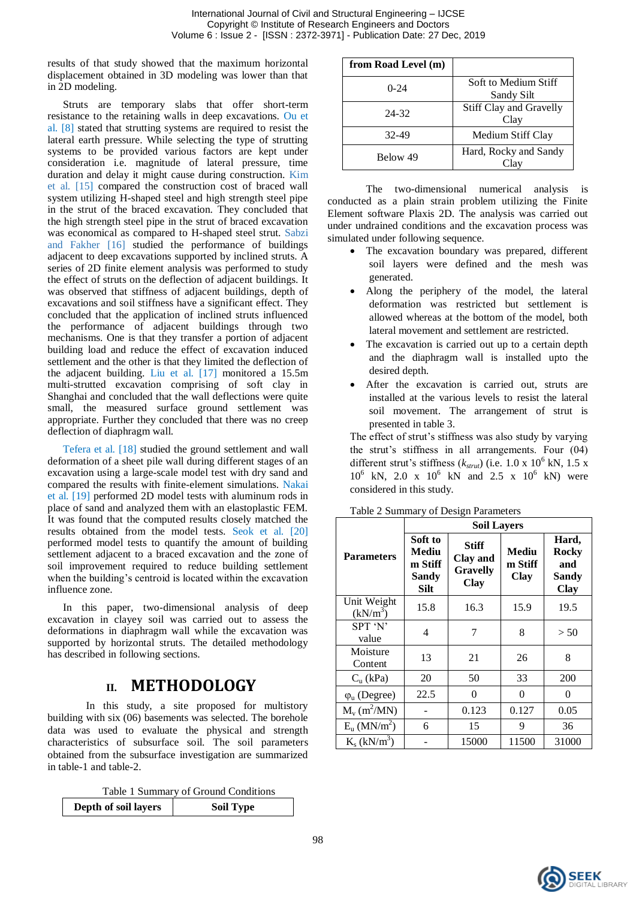results of that study showed that the maximum horizontal displacement obtained in 3D modeling was lower than that in 2D modeling.

Struts are temporary slabs that offer short-term resistance to the retaining walls in deep excavations. Ou et al. [8] stated that strutting systems are required to resist the lateral earth pressure. While selecting the type of strutting systems to be provided various factors are kept under consideration i.e. magnitude of lateral pressure, time duration and delay it might cause during construction. Kim et al. [15] compared the construction cost of braced wall system utilizing H-shaped steel and high strength steel pipe in the strut of the braced excavation. They concluded that the high strength steel pipe in the strut of braced excavation was economical as compared to H-shaped steel strut. Sabzi and Fakher [16] studied the performance of buildings adjacent to deep excavations supported by inclined struts. A series of 2D finite element analysis was performed to study the effect of struts on the deflection of adjacent buildings. It was observed that stiffness of adjacent buildings, depth of excavations and soil stiffness have a significant effect. They concluded that the application of inclined struts influenced the performance of adjacent buildings through two mechanisms. One is that they transfer a portion of adjacent building load and reduce the effect of excavation induced settlement and the other is that they limited the deflection of the adjacent building. Liu et al. [17] monitored a 15.5m multi-strutted excavation comprising of soft clay in Shanghai and concluded that the wall deflections were quite small, the measured surface ground settlement was appropriate. Further they concluded that there was no creep deflection of diaphragm wall.

Tefera et al. [18] studied the ground settlement and wall deformation of a sheet pile wall during different stages of an excavation using a large-scale model test with dry sand and compared the results with finite-element simulations. Nakai et al. [19] performed 2D model tests with aluminum rods in place of sand and analyzed them with an elastoplastic FEM. It was found that the computed results closely matched the results obtained from the model tests. Seok et al. [20] performed model tests to quantify the amount of building settlement adjacent to a braced excavation and the zone of soil improvement required to reduce building settlement when the building's centroid is located within the excavation influence zone.

In this paper, two-dimensional analysis of deep excavation in clayey soil was carried out to assess the deformations in diaphragm wall while the excavation was supported by horizontal struts. The detailed methodology has described in following sections.

### **II. METHODOLOGY**

In this study, a site proposed for multistory building with six (06) basements was selected. The borehole data was used to evaluate the physical and strength characteristics of subsurface soil. The soil parameters obtained from the subsurface investigation are summarized in table-1 and table-2.

Table 1 Summary of Ground Conditions

| Depth of soil layers | <b>Soil Type</b> |
|----------------------|------------------|
|                      |                  |

| from Road Level (m) |                                    |  |  |
|---------------------|------------------------------------|--|--|
| $0 - 24$            | Soft to Medium Stiff<br>Sandy Silt |  |  |
| 24-32               | Stiff Clay and Gravelly<br>Clay    |  |  |
| 32-49               | Medium Stiff Clay                  |  |  |
| Below 49            | Hard, Rocky and Sandy              |  |  |

The two-dimensional numerical analysis is conducted as a plain strain problem utilizing the Finite Element software Plaxis 2D. The analysis was carried out under undrained conditions and the excavation process was simulated under following sequence.

- The excavation boundary was prepared, different soil layers were defined and the mesh was generated.
- Along the periphery of the model, the lateral deformation was restricted but settlement is allowed whereas at the bottom of the model, both lateral movement and settlement are restricted.
- The excavation is carried out up to a certain depth and the diaphragm wall is installed upto the desired depth.
- After the excavation is carried out, struts are installed at the various levels to resist the lateral soil movement. The arrangement of strut is presented in table 3.

The effect of strut's stiffness was also study by varying the strut's stiffness in all arrangements. Four (04) different strut's stiffness  $(k<sub>strut</sub>)$  (i.e.  $1.0 \times 10^6$  kN,  $1.5 \times$  $10^6$  kN, 2.0 x  $10^6$  kN and 2.5 x  $10^6$  kN) were considered in this study.

|                                  | <b>Soil Layers</b>                                         |                                                            |                                 |                                                      |  |  |  |
|----------------------------------|------------------------------------------------------------|------------------------------------------------------------|---------------------------------|------------------------------------------------------|--|--|--|
| <b>Parameters</b>                | Soft to<br>Mediu<br>m Stiff<br><b>Sandy</b><br><b>Silt</b> | <b>Stiff</b><br>Clay and<br><b>Gravelly</b><br><b>Clay</b> | Mediu<br>m Stiff<br><b>Clay</b> | Hard,<br><b>Rocky</b><br>and<br>Sandy<br><b>Clay</b> |  |  |  |
| Unit Weight<br>$(kN/m^3)$        | 15.8                                                       | 16.3                                                       | 15.9                            | 19.5                                                 |  |  |  |
| SPT 'N'<br>value                 | 4                                                          | 7                                                          | 8                               | > 50                                                 |  |  |  |
| Moisture<br>Content              | 13                                                         | 21                                                         | 26                              | 8                                                    |  |  |  |
| $C_n$ (kPa)                      | 20                                                         | 50                                                         | 33                              | 200                                                  |  |  |  |
| $\varphi$ <sub>u</sub> (Degree)  | 22.5                                                       | $\theta$                                                   | $\Omega$                        | $\theta$                                             |  |  |  |
| $M_v$ (m <sup>2</sup> /MN)       |                                                            | 0.123                                                      | 0.127                           | 0.05                                                 |  |  |  |
| $E_{\rm u}$ (MN/m <sup>2</sup> ) | 6                                                          | 15                                                         | 9                               | 36                                                   |  |  |  |
| $K_s$ (kN/m <sup>3</sup> )       |                                                            | 15000                                                      | 11500                           | 31000                                                |  |  |  |

Table 2 Summary of Design Parameters

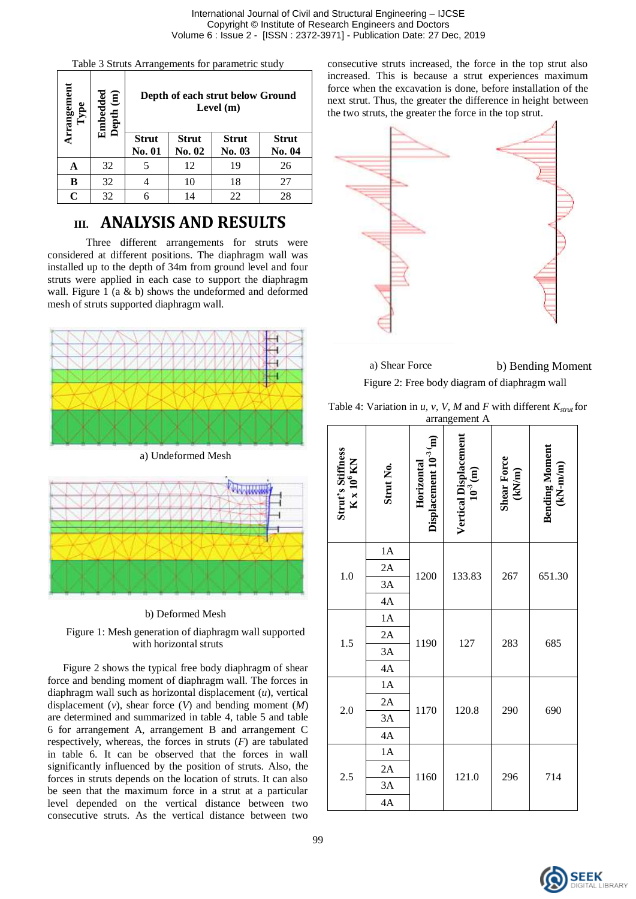Table 3 Struts Arrangements for parametric study

| Arrangement | bedded<br>pth (m)<br>Dept<br><u>គ្រួ</u> | Depth of each strut below Ground<br>Level $(m)$ |                        |                        |                        |  |  |
|-------------|------------------------------------------|-------------------------------------------------|------------------------|------------------------|------------------------|--|--|
|             |                                          | <b>Strut</b><br>No. 01                          | <b>Strut</b><br>No. 02 | <b>Strut</b><br>No. 03 | <b>Strut</b><br>No. 04 |  |  |
| А           | 32                                       | 5                                               | 12                     | 19                     | 26                     |  |  |
| B           | 32                                       |                                                 | 10                     | 18                     | 27                     |  |  |
| C           | 32                                       |                                                 | 14                     | 22                     | 28                     |  |  |

## **III. ANALYSIS AND RESULTS**

Three different arrangements for struts were considered at different positions. The diaphragm wall was installed up to the depth of 34m from ground level and four struts were applied in each case to support the diaphragm wall. Figure 1 (a & b) shows the undeformed and deformed mesh of struts supported diaphragm wall.



a) Undeformed Mesh



#### b) Deformed Mesh



Figure 2 shows the typical free body diaphragm of shear force and bending moment of diaphragm wall. The forces in diaphragm wall such as horizontal displacement (*u*), vertical displacement (*v*), shear force (*V*) and bending moment (*M*) are determined and summarized in table 4, table 5 and table 6 for arrangement A, arrangement B and arrangement C respectively, whereas, the forces in struts (*F*) are tabulated in table 6. It can be observed that the forces in wall significantly influenced by the position of struts. Also, the forces in struts depends on the location of struts. It can also be seen that the maximum force in a strut at a particular level depended on the vertical distance between two consecutive struts. As the vertical distance between two

consecutive struts increased, the force in the top strut also increased. This is because a strut experiences maximum force when the excavation is done, before installation of the next strut. Thus, the greater the difference in height between the two struts, the greater the force in the top strut.



a) Shear Force b) Bending Moment Figure 2: Free body diagram of diaphragm wall

| Table 4: Variation in u, v, V, M and F with different $K_{strut}$ for |  |               |  |  |
|-----------------------------------------------------------------------|--|---------------|--|--|
|                                                                       |  | arrangement A |  |  |

| Strut's Stiffness<br>K x 10 <sup>6</sup> KN | Strut No. | Horizontal<br>Displacement 10 <sup>-3</sup> m) | Vertical Displacement<br>$10^{3}$ (m) | Shear Force<br>(kN/m) | <b>Bending Moment<br/>(kN-m/m)</b> |
|---------------------------------------------|-----------|------------------------------------------------|---------------------------------------|-----------------------|------------------------------------|
|                                             | 1A        |                                                |                                       |                       | 651.30                             |
| 1.0                                         | 2A        | 1200                                           | 133.83                                | 267                   |                                    |
|                                             | 3A<br>4A  |                                                |                                       |                       |                                    |
|                                             | 1A        |                                                |                                       |                       |                                    |
|                                             | 2A        | 1190                                           | 127                                   | 283                   | 685                                |
| 1.5                                         | 3A        |                                                |                                       |                       |                                    |
|                                             | 4A        |                                                |                                       |                       |                                    |
|                                             | 1A        | 1170                                           | 120.8                                 | 290                   | 690                                |
| 2.0                                         | 2A        |                                                |                                       |                       |                                    |
|                                             | 3A        |                                                |                                       |                       |                                    |
|                                             | 4A        |                                                |                                       |                       |                                    |
|                                             | 1A        |                                                |                                       |                       |                                    |
| 2.5                                         | 2A        | 1160                                           | 121.0                                 | 296                   | 714                                |
|                                             | 3A        |                                                |                                       |                       |                                    |
|                                             | 4A        |                                                |                                       |                       |                                    |

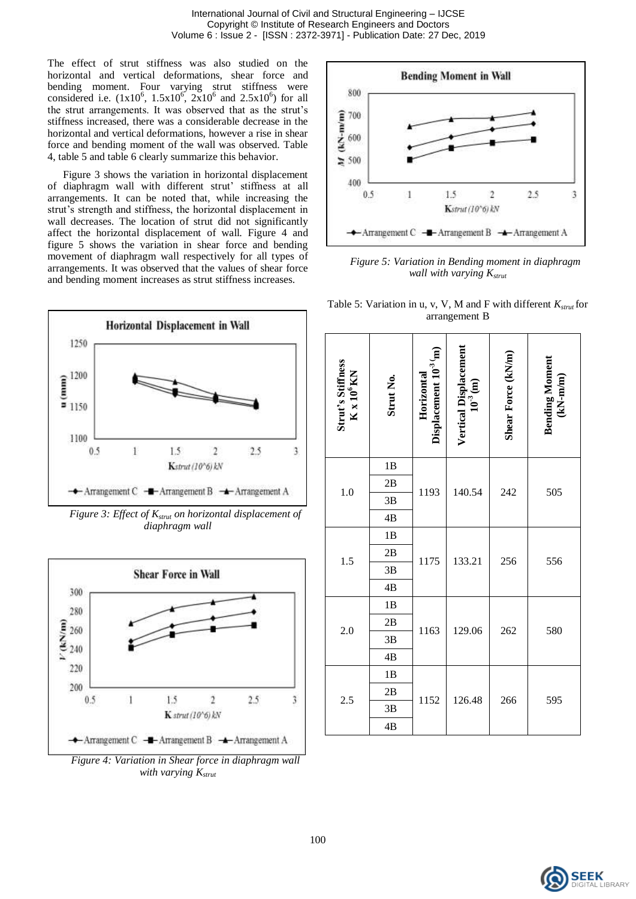The effect of strut stiffness was also studied on the horizontal and vertical deformations, shear force and bending moment. Four varying strut stiffness were considered i.e.  $(1x10^6, 1.5x10^6, 2x10^6, and 2.5x10^6)$  for all the strut arrangements. It was observed that as the strut's stiffness increased, there was a considerable decrease in the horizontal and vertical deformations, however a rise in shear force and bending moment of the wall was observed. Table 4, table 5 and table 6 clearly summarize this behavior.

Figure 3 shows the variation in horizontal displacement of diaphragm wall with different strut' stiffness at all arrangements. It can be noted that, while increasing the strut's strength and stiffness, the horizontal displacement in wall decreases. The location of strut did not significantly affect the horizontal displacement of wall. Figure 4 and figure 5 shows the variation in shear force and bending movement of diaphragm wall respectively for all types of arrangements. It was observed that the values of shear force and bending moment increases as strut stiffness increases.



*Figure 3: Effect of Kstrut on horizontal displacement of diaphragm wall*



*Figure 4: Variation in Shear force in diaphragm wall with varying Kstrut*



*Figure 5: Variation in Bending moment in diaphragm wall with varying Kstrut*

Table 5: Variation in u, v, V, M and F with different  $K_{strut}$  for arrangement B

| Strut's Stiffness<br>K x 10 <sup>6</sup> KN | Strut No. | Horizontal<br>Displacement 10 <sup>-3</sup> m) | Vertical Displacement<br>$10^{3}$ (m) | Shear Force (kN/m) | <b>Bending Moment</b><br>(kN-m/m) |
|---------------------------------------------|-----------|------------------------------------------------|---------------------------------------|--------------------|-----------------------------------|
|                                             | 1B        |                                                |                                       |                    |                                   |
| 1.0                                         | 2B        | 1193                                           | 140.54                                | 242                | 505                               |
|                                             | 3B        |                                                |                                       |                    |                                   |
|                                             | 4B        |                                                |                                       |                    |                                   |
|                                             | 1B        | 1175                                           | 133.21                                | 256                | 556                               |
| 1.5                                         | 2B        |                                                |                                       |                    |                                   |
|                                             | 3B        |                                                |                                       |                    |                                   |
|                                             | 4B        |                                                |                                       |                    |                                   |
|                                             | 1B        |                                                | 129.06                                | 262                | 580                               |
| 2.0                                         | 2B        | 1163                                           |                                       |                    |                                   |
|                                             | 3B        |                                                |                                       |                    |                                   |
|                                             | 4B        |                                                |                                       |                    |                                   |
|                                             | 1B        |                                                |                                       | 266                |                                   |
| 2.5                                         | 2B        | 1152                                           | 126.48                                |                    | 595                               |
|                                             | 3B        |                                                |                                       |                    |                                   |
|                                             | 4B        |                                                |                                       |                    |                                   |

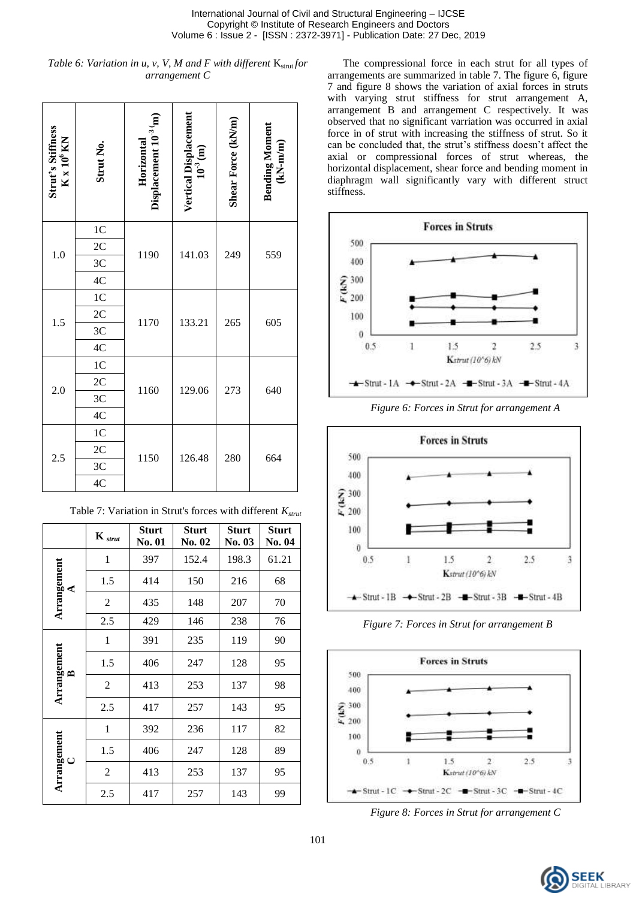*Table 6: Variation in u, v, V, M and F with different*  $K_{strut}$  *for arrangement C*

| Strut's Stiffness<br>K x 10 <sup>6</sup> KN | Strut No.      | Horizontal<br>Displacement 10 <sup>-3</sup> m) | Vertical Displacement<br>$10^{3}$ (m) | Shear Force (kN/m) | <b>Bending Moment<br/>(kN-m/m)</b> |
|---------------------------------------------|----------------|------------------------------------------------|---------------------------------------|--------------------|------------------------------------|
|                                             | 1 <sub>C</sub> |                                                |                                       |                    |                                    |
| 1.0                                         | 2C             | 1190                                           | 141.03                                | 249                | 559                                |
|                                             | 3 <sup>C</sup> |                                                |                                       |                    |                                    |
|                                             | 4C             |                                                |                                       |                    |                                    |
|                                             | 1 <sup>C</sup> |                                                | 133.21                                | 265                | 605                                |
| 1.5                                         | 2C             | 1170                                           |                                       |                    |                                    |
|                                             | 3 <sup>C</sup> |                                                |                                       |                    |                                    |
|                                             | 4C             |                                                |                                       |                    |                                    |
|                                             | 1 <sup>C</sup> |                                                |                                       |                    |                                    |
| 2.0                                         | 2C             | 1160                                           | 129.06                                | 273                | 640                                |
|                                             | 3 <sup>C</sup> |                                                |                                       |                    |                                    |
|                                             | 4C             |                                                |                                       |                    |                                    |
|                                             | 1 <sup>C</sup> |                                                |                                       |                    | 664                                |
|                                             | 2C             |                                                |                                       | 280                |                                    |
| 2.5                                         | 3 <sup>C</sup> | 1150                                           | 126.48                                |                    |                                    |
|                                             | 4C             |                                                |                                       |                    |                                    |

|                             | $\mathbf{K}_{\textit{strut}}$ | <b>Sturt</b><br><b>No. 01</b> | <b>Sturt</b><br>No. 02 | <b>Sturt</b><br>No. 03 | <b>Sturt</b><br><b>No. 04</b> |
|-----------------------------|-------------------------------|-------------------------------|------------------------|------------------------|-------------------------------|
|                             | 1                             | 397                           | 152.4                  | 198.3                  | 61.21                         |
| Arrangement<br>⋖            | 1.5                           | 414                           | 150                    | 216                    | 68                            |
|                             | $\overline{c}$                | 435                           | 148                    | 207                    | 70                            |
|                             | 2.5                           | 429                           | 146                    | 238                    | 76                            |
|                             | 1                             | 391                           | 235                    | 119                    | 90                            |
|                             | 1.5                           | 406                           | 247                    | 128                    | 95                            |
| Arrangement<br>$\mathbf{r}$ | $\overline{c}$                | 413                           | 253                    | 137                    | 98                            |
|                             | 2.5                           | 417                           | 257                    | 143                    | 95                            |
| Arrangement<br>$\cup$       | 1                             | 392                           | 236                    | 117                    | 82                            |
|                             | 1.5                           | 406                           | 247                    | 128                    | 89                            |
|                             | $\overline{2}$                | 413                           | 253                    | 137                    | 95                            |
|                             | 2.5                           | 417                           | 257                    | 143                    | 99                            |

Table 7: Variation in Strut's forces with different *Kstrut*

The compressional force in each strut for all types of arrangements are summarized in table 7. The figure 6, figure 7 and figure 8 shows the variation of axial forces in struts with varying strut stiffness for strut arrangement A, arrangement B and arrangement C respectively. It was observed that no significant varriation was occurred in axial force in of strut with increasing the stiffness of strut. So it can be concluded that, the strut's stiffness doesn't affect the axial or compressional forces of strut whereas, the horizontal displacement, shear force and bending moment in diaphragm wall significantly vary with different struct stiffness.



*Figure 6: Forces in Strut for arrangement A*



*Figure 7: Forces in Strut for arrangement B*



*Figure 8: Forces in Strut for arrangement C*